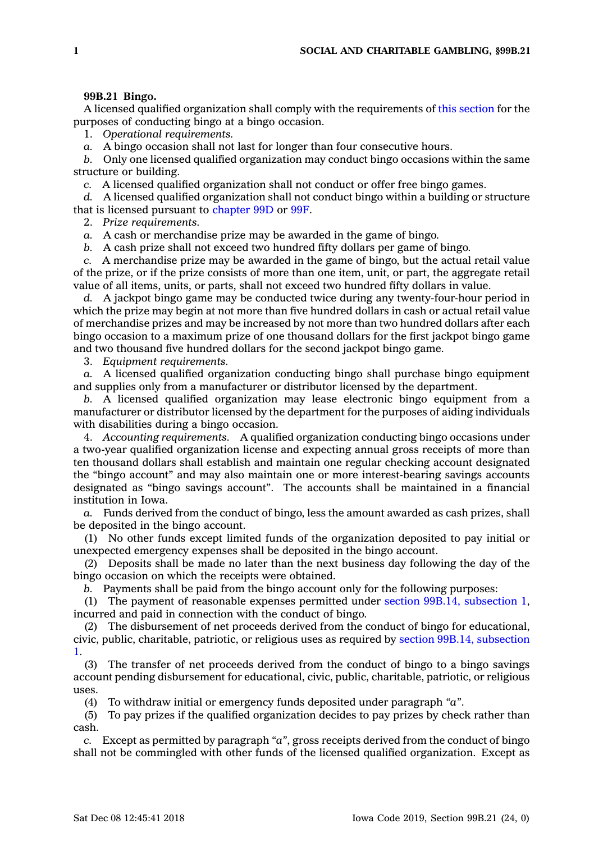## **99B.21 Bingo.**

A licensed qualified organization shall comply with the requirements of this [section](https://www.legis.iowa.gov/docs/code/99B.21.pdf) for the purposes of conducting bingo at <sup>a</sup> bingo occasion.

1. *Operational requirements.*

*a.* A bingo occasion shall not last for longer than four consecutive hours.

*b.* Only one licensed qualified organization may conduct bingo occasions within the same structure or building.

*c.* A licensed qualified organization shall not conduct or offer free bingo games.

*d.* A licensed qualified organization shall not conduct bingo within <sup>a</sup> building or structure that is licensed pursuant to [chapter](https://www.legis.iowa.gov/docs/code//99D.pdf) 99D or [99F](https://www.legis.iowa.gov/docs/code//99F.pdf).

2. *Prize requirements.*

*a.* A cash or merchandise prize may be awarded in the game of bingo.

*b.* A cash prize shall not exceed two hundred fifty dollars per game of bingo.

*c.* A merchandise prize may be awarded in the game of bingo, but the actual retail value of the prize, or if the prize consists of more than one item, unit, or part, the aggregate retail value of all items, units, or parts, shall not exceed two hundred fifty dollars in value.

*d.* A jackpot bingo game may be conducted twice during any twenty-four-hour period in which the prize may begin at not more than five hundred dollars in cash or actual retail value of merchandise prizes and may be increased by not more than two hundred dollars after each bingo occasion to <sup>a</sup> maximum prize of one thousand dollars for the first jackpot bingo game and two thousand five hundred dollars for the second jackpot bingo game.

3. *Equipment requirements.*

*a.* A licensed qualified organization conducting bingo shall purchase bingo equipment and supplies only from <sup>a</sup> manufacturer or distributor licensed by the department.

*b.* A licensed qualified organization may lease electronic bingo equipment from <sup>a</sup> manufacturer or distributor licensed by the department for the purposes of aiding individuals with disabilities during <sup>a</sup> bingo occasion.

4. *Accounting requirements.* A qualified organization conducting bingo occasions under <sup>a</sup> two-year qualified organization license and expecting annual gross receipts of more than ten thousand dollars shall establish and maintain one regular checking account designated the "bingo account" and may also maintain one or more interest-bearing savings accounts designated as "bingo savings account". The accounts shall be maintained in <sup>a</sup> financial institution in Iowa.

*a.* Funds derived from the conduct of bingo, less the amount awarded as cash prizes, shall be deposited in the bingo account.

(1) No other funds except limited funds of the organization deposited to pay initial or unexpected emergency expenses shall be deposited in the bingo account.

(2) Deposits shall be made no later than the next business day following the day of the bingo occasion on which the receipts were obtained.

*b.* Payments shall be paid from the bingo account only for the following purposes:

(1) The payment of reasonable expenses permitted under section 99B.14, [subsection](https://www.legis.iowa.gov/docs/code/99B.14.pdf) 1, incurred and paid in connection with the conduct of bingo.

(2) The disbursement of net proceeds derived from the conduct of bingo for educational, civic, public, charitable, patriotic, or religious uses as required by section 99B.14, [subsection](https://www.legis.iowa.gov/docs/code/99B.14.pdf) [1](https://www.legis.iowa.gov/docs/code/99B.14.pdf).

(3) The transfer of net proceeds derived from the conduct of bingo to <sup>a</sup> bingo savings account pending disbursement for educational, civic, public, charitable, patriotic, or religious uses.

(4) To withdraw initial or emergency funds deposited under paragraph *"a"*.

(5) To pay prizes if the qualified organization decides to pay prizes by check rather than cash.

*c.* Except as permitted by paragraph *"a"*, gross receipts derived from the conduct of bingo shall not be commingled with other funds of the licensed qualified organization. Except as